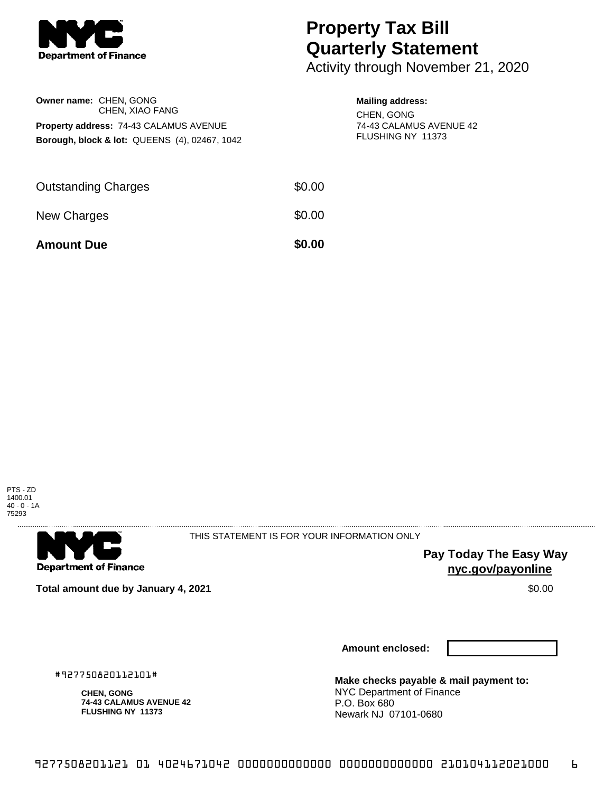

**Owner name:** CHEN, GONG

CHEN, XIAO FANG **Property address:** 74-43 CALAMUS AVENUE **Borough, block & lot:** QUEENS (4), 02467, 1042

## **Property Tax Bill Quarterly Statement**

Activity through November 21, 2020

## **Mailing address:**

CHEN, GONG 74-43 CALAMUS AVENUE 42 FLUSHING NY 11373

| <b>Amount Due</b>          | \$0.00 |
|----------------------------|--------|
| New Charges                | \$0.00 |
| <b>Outstanding Charges</b> | \$0.00 |





THIS STATEMENT IS FOR YOUR INFORMATION ONLY

**Pay Today The Easy Way nyc.gov/payonline**

**Total amount due by January 4, 2021** \$0.00

**Amount enclosed:**

#927750820112101#

**CHEN, GONG 74-43 CALAMUS AVENUE 42 FLUSHING NY 11373**

**Make checks payable & mail payment to:** NYC Department of Finance P.O. Box 680 Newark NJ 07101-0680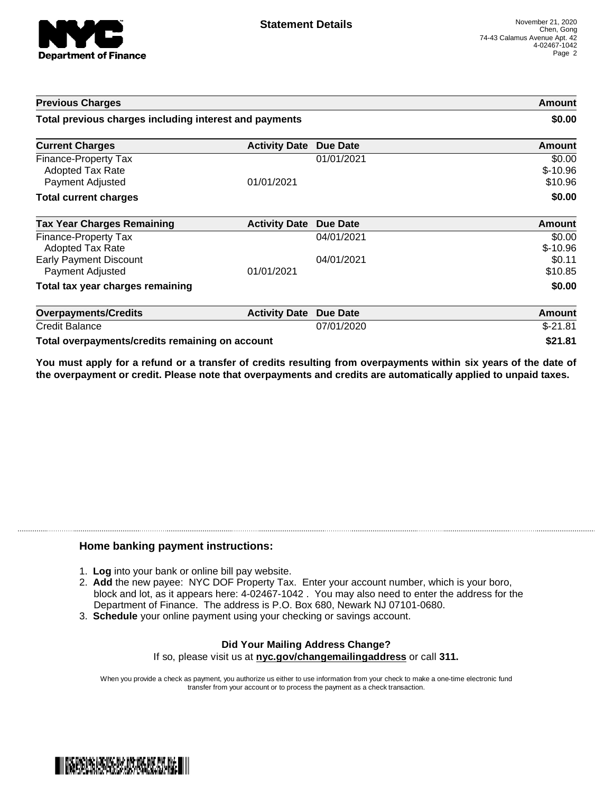

| <b>Previous Charges</b>                                             |                      |            | Amount                         |
|---------------------------------------------------------------------|----------------------|------------|--------------------------------|
| Total previous charges including interest and payments              |                      |            | \$0.00                         |
| <b>Current Charges</b>                                              | <b>Activity Date</b> | Due Date   | Amount                         |
| Finance-Property Tax<br><b>Adopted Tax Rate</b><br>Payment Adjusted | 01/01/2021           | 01/01/2021 | \$0.00<br>$$-10.96$<br>\$10.96 |
| <b>Total current charges</b>                                        |                      |            | \$0.00                         |
| <b>Tax Year Charges Remaining</b>                                   | <b>Activity Date</b> | Due Date   | Amount                         |
| Finance-Property Tax<br><b>Adopted Tax Rate</b>                     |                      | 04/01/2021 | \$0.00<br>$$-10.96$            |
| <b>Early Payment Discount</b><br>Payment Adjusted                   | 01/01/2021           | 04/01/2021 | \$0.11<br>\$10.85              |
| Total tax year charges remaining                                    |                      |            | \$0.00                         |
| <b>Overpayments/Credits</b>                                         | <b>Activity Date</b> | Due Date   | Amount                         |
| <b>Credit Balance</b>                                               |                      | 07/01/2020 | $$-21.81$                      |
| Total overpayments/credits remaining on account                     |                      |            | \$21.81                        |

You must apply for a refund or a transfer of credits resulting from overpayments within six years of the date of **the overpayment or credit. Please note that overpayments and credits are automatically applied to unpaid taxes.**

## **Home banking payment instructions:**

- 1. **Log** into your bank or online bill pay website.
- 2. **Add** the new payee: NYC DOF Property Tax. Enter your account number, which is your boro, block and lot, as it appears here: 4-02467-1042 . You may also need to enter the address for the Department of Finance. The address is P.O. Box 680, Newark NJ 07101-0680.
- 3. **Schedule** your online payment using your checking or savings account.

## **Did Your Mailing Address Change?** If so, please visit us at **nyc.gov/changemailingaddress** or call **311.**

When you provide a check as payment, you authorize us either to use information from your check to make a one-time electronic fund transfer from your account or to process the payment as a check transaction.